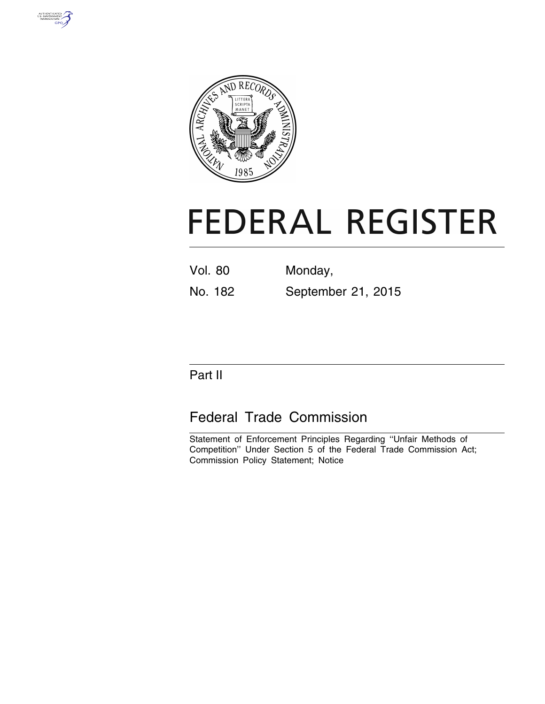



# **FEDERAL REGISTER**

Vol. 80 Monday, No. 182 September 21, 2015

## Part II

## Federal Trade Commission

Statement of Enforcement Principles Regarding ''Unfair Methods of Competition'' Under Section 5 of the Federal Trade Commission Act; Commission Policy Statement; Notice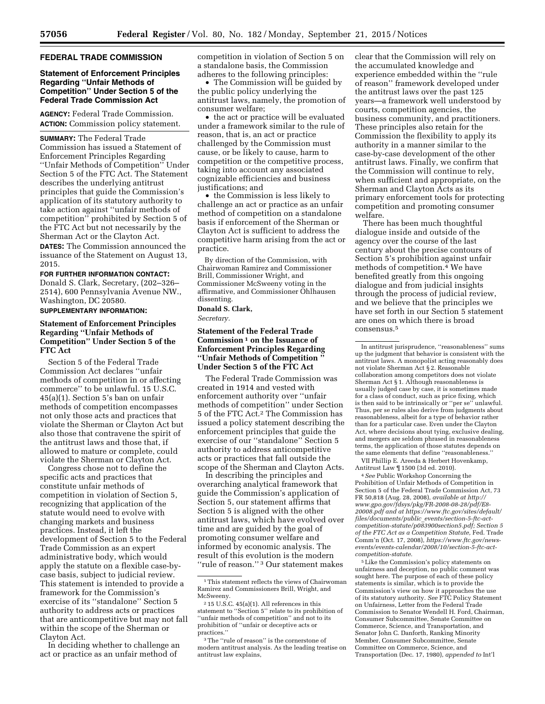#### **FEDERAL TRADE COMMISSION**

#### **Statement of Enforcement Principles Regarding ''Unfair Methods of Competition'' Under Section 5 of the Federal Trade Commission Act**

**AGENCY:** Federal Trade Commission. **ACTION:** Commission policy statement.

**SUMMARY:** The Federal Trade Commission has issued a Statement of Enforcement Principles Regarding ''Unfair Methods of Competition'' Under Section 5 of the FTC Act. The Statement describes the underlying antitrust principles that guide the Commission's application of its statutory authority to take action against ''unfair methods of competition'' prohibited by Section 5 of the FTC Act but not necessarily by the Sherman Act or the Clayton Act. **DATES:** The Commission announced the issuance of the Statement on August 13, 2015.

#### **FOR FURTHER INFORMATION CONTACT:**

Donald S. Clark, Secretary, (202–326– 2514), 600 Pennsylvania Avenue NW., Washington, DC 20580.

### **SUPPLEMENTARY INFORMATION:**

#### **Statement of Enforcement Principles Regarding ''Unfair Methods of Competition'' Under Section 5 of the FTC Act**

Section 5 of the Federal Trade Commission Act declares ''unfair methods of competition in or affecting commerce'' to be unlawful. 15 U.S.C. 45(a)(1). Section 5's ban on unfair methods of competition encompasses not only those acts and practices that violate the Sherman or Clayton Act but also those that contravene the spirit of the antitrust laws and those that, if allowed to mature or complete, could violate the Sherman or Clayton Act.

Congress chose not to define the specific acts and practices that constitute unfair methods of competition in violation of Section 5, recognizing that application of the statute would need to evolve with changing markets and business practices. Instead, it left the development of Section 5 to the Federal Trade Commission as an expert administrative body, which would apply the statute on a flexible case-bycase basis, subject to judicial review. This statement is intended to provide a framework for the Commission's exercise of its ''standalone'' Section 5 authority to address acts or practices that are anticompetitive but may not fall within the scope of the Sherman or Clayton Act.

In deciding whether to challenge an act or practice as an unfair method of

competition in violation of Section 5 on a standalone basis, the Commission adheres to the following principles:

• The Commission will be guided by the public policy underlying the antitrust laws, namely, the promotion of consumer welfare;

• the act or practice will be evaluated under a framework similar to the rule of reason, that is, an act or practice challenged by the Commission must cause, or be likely to cause, harm to competition or the competitive process, taking into account any associated cognizable efficiencies and business justifications; and

• the Commission is less likely to challenge an act or practice as an unfair method of competition on a standalone basis if enforcement of the Sherman or Clayton Act is sufficient to address the competitive harm arising from the act or practice.

By direction of the Commission, with Chairwoman Ramirez and Commissioner Brill, Commissioner Wright, and Commissioner McSweeny voting in the affirmative, and Commissioner Ohlhausen dissenting. **Donald S. Clark,** 

*Secretary.* 

#### **Statement of the Federal Trade Commission 1 on the Issuance of Enforcement Principles Regarding ''Unfair Methods of Competition '' Under Section 5 of the FTC Act**

The Federal Trade Commission was created in 1914 and vested with enforcement authority over ''unfair methods of competition'' under Section 5 of the FTC Act.2 The Commission has issued a policy statement describing the enforcement principles that guide the exercise of our ''standalone'' Section 5 authority to address anticompetitive acts or practices that fall outside the scope of the Sherman and Clayton Acts.

In describing the principles and overarching analytical framework that guide the Commission's application of Section 5, our statement affirms that Section 5 is aligned with the other antitrust laws, which have evolved over time and are guided by the goal of promoting consumer welfare and informed by economic analysis. The result of this evolution is the modern ''rule of reason.'' 3 Our statement makes

clear that the Commission will rely on the accumulated knowledge and experience embedded within the ''rule of reason'' framework developed under the antitrust laws over the past 125 years—a framework well understood by courts, competition agencies, the business community, and practitioners. These principles also retain for the Commission the flexibility to apply its authority in a manner similar to the case-by-case development of the other antitrust laws. Finally, we confirm that the Commission will continue to rely, when sufficient and appropriate, on the Sherman and Clayton Acts as its primary enforcement tools for protecting competition and promoting consumer welfare.

There has been much thoughtful dialogue inside and outside of the agency over the course of the last century about the precise contours of Section 5's prohibition against unfair methods of competition.4 We have benefited greatly from this ongoing dialogue and from judicial insights through the process of judicial review, and we believe that the principles we have set forth in our Section 5 statement are ones on which there is broad consensus.5

VII Phillip E. Areeda & Herbert Hovenkamp, Antitrust Law ¶ 1500 (3d ed. 2010).

4*See* Public Workshop Concerning the Prohibition of Unfair Methods of Competition in Section 5 of the Federal Trade Commission Act, 73 FR 50,818 (Aug. 28, 2008), *available [at http://](http://www.gpo.gov/fdsys/pkg/FR-2008-08-28/pdf/E8-20008.pdf)  [www.gpo.gov/fdsys/pkg/FR-2008-08-28/pdf/E8-](http://www.gpo.gov/fdsys/pkg/FR-2008-08-28/pdf/E8-20008.pdf)  [20008.pdf a](http://www.gpo.gov/fdsys/pkg/FR-2008-08-28/pdf/E8-20008.pdf)nd at [https://www.ftc.gov/sites/default/](https://www.ftc.gov/sites/default/files/documents/public_events/section-5-ftc-act-competition-statute/p083900section5.pdf)  files/documents/public*\_*[events/section-5-ftc-act](https://www.ftc.gov/sites/default/files/documents/public_events/section-5-ftc-act-competition-statute/p083900section5.pdf)[competition-statute/p083900section5.pdf; S](https://www.ftc.gov/sites/default/files/documents/public_events/section-5-ftc-act-competition-statute/p083900section5.pdf)ection 5 of the FTC Act as a Competition Statute,* Fed. Trade Comm'n (Oct. 17, 2008), *[https://www.ftc.gov/news](https://www.ftc.gov/news- events/events-calendar/2008/10/section-5-ftc-act-competition-statute)[events/events-calendar/2008/10/section-5-ftc-act](https://www.ftc.gov/news- events/events-calendar/2008/10/section-5-ftc-act-competition-statute)competition-statute.* 

5Like the Commission's policy statements on unfairness and deception, no public comment was sought here. The purpose of each of these policy statements is similar, which is to provide the Commission's view on how it approaches the use of its statutory authority. *See* FTC Policy Statement on Unfairness, Letter from the Federal Trade Commission to Senator Wendell H. Ford, Chairman, Consumer Subcommittee, Senate Committee on Commerce, Science, and Transportation, and Senator John C. Danforth, Ranking Minority Member, Consumer Subcommittee, Senate Committee on Commerce, Science, and Transportation (Dec. 17, 1980), *appended to* Int'l

<sup>1</sup>This statement reflects the views of Chairwoman Ramirez and Commissioners Brill, Wright, and McSweeny.

<sup>2</sup> 15 U.S.C. 45(a)(1). All references in this statement to ''Section 5'' relate to its prohibition of ''unfair methods of competition'' and not to its prohibition of ''unfair or deceptive acts or practices.''

<sup>&</sup>lt;sup>3</sup>The "rule of reason" is the cornerstone of modern antitrust analysis. As the leading treatise on antitrust law explains,

In antitrust jurisprudence, ''reasonableness'' sums up the judgment that behavior is consistent with the antitrust laws. A monopolist acting reasonably does not violate Sherman Act § 2. Reasonable collaboration among competitors does not violate Sherman Act § 1. Although reasonableness is usually judged case by case, it is sometimes made for a class of conduct, such as price fixing, which is then said to be intrinsically or ''per se'' unlawful. Thus, per se rules also derive from judgments about reasonableness, albeit for a type of behavior rather than for a particular case. Even under the Clayton Act, where decisions about tying, exclusive dealing, and mergers are seldom phrased in reasonableness terms, the application of those statutes depends on the same elements that define ''reasonableness.''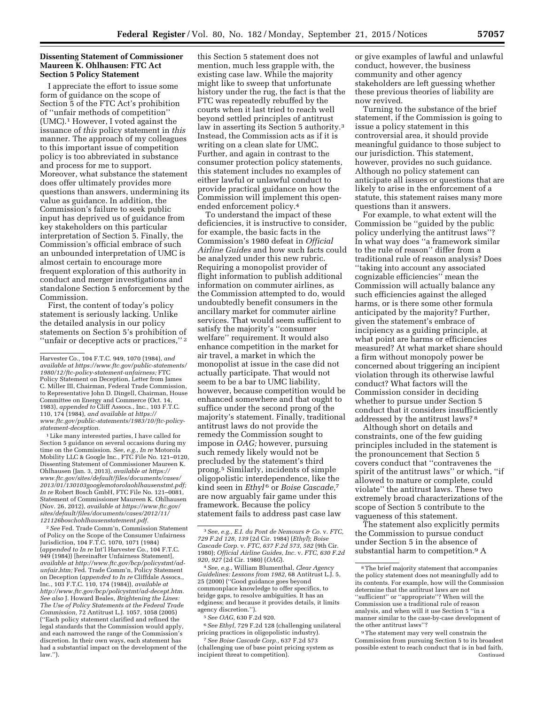#### **Dissenting Statement of Commissioner Maureen K. Ohlhausen: FTC Act Section 5 Policy Statement**

I appreciate the effort to issue some form of guidance on the scope of Section 5 of the FTC Act's prohibition of ''unfair methods of competition'' (UMC).1 However, I voted against the issuance of *this* policy statement in *this*  manner. The approach of my colleagues to this important issue of competition policy is too abbreviated in substance and process for me to support. Moreover, what substance the statement does offer ultimately provides more questions than answers, undermining its value as guidance. In addition, the Commission's failure to seek public input has deprived us of guidance from key stakeholders on this particular interpretation of Section 5. Finally, the Commission's official embrace of such an unbounded interpretation of UMC is almost certain to encourage more frequent exploration of this authority in conduct and merger investigations and standalone Section 5 enforcement by the Commission.

First, the content of today's policy statement is seriously lacking. Unlike the detailed analysis in our policy statements on Section 5's prohibition of "unfair or deceptive acts or practices,"<sup>2</sup>

<sup>1</sup>Like many interested parties, I have called for Section 5 guidance on several occasions during my time on the Commission. *See, e.g., In re* Motorola Mobility LLC & Google Inc., FTC File No. 121–0120, Dissenting Statement of Commissioner Maureen K. Ohlhausen (Jan. 3, 2013), *available at [https://](https://www.ftc.gov/sites/default/files/documents/cases/2013/01/130103googlemotorolaohlhausenstmt.pdf) [www.ftc.gov/sites/default/files/documents/cases/](https://www.ftc.gov/sites/default/files/documents/cases/2013/01/130103googlemotorolaohlhausenstmt.pdf) [2013/01/130103googlemotorolaohlhausenstmt.pdf;](https://www.ftc.gov/sites/default/files/documents/cases/2013/01/130103googlemotorolaohlhausenstmt.pdf) In re* Robert Bosch GmbH, FTC File No. 121–0081, Statement of Commissioner Maureen K. Ohlhausen (Nov. 26, 2012), *available at [https://www.ftc.gov/](https://www.ftc.gov/sites/default/files/documents/cases/2012/11/121126boschohlhausenstatement.pdf) [sites/default/files/documents/cases/2012/11/](https://www.ftc.gov/sites/default/files/documents/cases/2012/11/121126boschohlhausenstatement.pdf) [121126boschohlhausenstatement.pdf.](https://www.ftc.gov/sites/default/files/documents/cases/2012/11/121126boschohlhausenstatement.pdf)* 

2*See* Fed. Trade Comm'n, Commission Statement of Policy on the Scope of the Consumer Unfairness Jurisdiction, 104 F.T.C. 1070, 1071 (1984) (*appended to In re* Int'l Harvester Co., 104 F.T.C. 949 (1984)) [hereinafter Unfairness Statement], *available at [http://www.ftc.gov/bcp/policystmt/ad](http://www.ftc.gov/bcp/policystmt/ad-unfair.htm)[unfair.htm;](http://www.ftc.gov/bcp/policystmt/ad-unfair.htm)* Fed. Trade Comm'n, Policy Statement on Deception (*appended to In re* Cliffdale Assocs., Inc., 103 F.T.C. 110, 174 (1984)), *available at [http://www.ftc.gov/bcp/policystmt/ad-decept.htm.](http://www.ftc.gov/bcp/policystmt/ad-decept.htm)  See also* J. Howard Beales, *Brightening the Lines: The Use of Policy Statements at the Federal Trade Commission,* 72 Antitrust L.J. 1057, 1058 (2005) (''Each policy statement clarified and refined the legal standards that the Commission would apply, and each narrowed the range of the Commission's discretion. In their own ways, each statement has had a substantial impact on the development of the law.'').

To understand the impact of these deficiencies, it is instructive to consider, for example, the basic facts in the Commission's 1980 defeat in *Official Airline Guides* and how such facts could be analyzed under this new rubric. Requiring a monopolist provider of flight information to publish additional information on commuter airlines, as the Commission attempted to do, would undoubtedly benefit consumers in the ancillary market for commuter airline services. That would seem sufficient to satisfy the majority's ''consumer welfare'' requirement. It would also enhance competition in the market for air travel, a market in which the monopolist at issue in the case did not actually participate. That would not seem to be a bar to UMC liability, however, because competition would be enhanced somewhere and that ought to suffice under the second prong of the majority's statement. Finally, traditional antitrust laws do not provide the remedy the Commission sought to impose in *OAG;* however, pursuing such remedy likely would not be precluded by the statement's third prong.5 Similarly, incidents of simple oligopolistic interdependence, like the kind seen in *Ethyl* 6 or *Boise Cascade,*7 are now arguably fair game under this framework. Because the policy statement fails to address past case law

4*See, e.g.,* William Blumenthal, *Clear Agency Guidelines: Lessons from 1982,* 68 Antitrust L.J. 5, 25 (2000) (''Good guidance goes beyond commonplace knowledge to offer specifics, to bridge gaps, to resolve ambiguities. It has an edginess; and because it provides details, it limits agency discretion.'').

5*See OAG,* 630 F.2d 920.

6*See Ethyl,* 729 F.2d 128 (challenging unilateral pricing practices in oligopolistic industry).

7*See Boise Cascade Corp.,* 637 F.2d 573 (challenging use of base point pricing system as incipient threat to competition).

or give examples of lawful and unlawful conduct, however, the business community and other agency stakeholders are left guessing whether these previous theories of liability are now revived.

Turning to the substance of the brief statement, if the Commission is going to issue a policy statement in this controversial area, it should provide meaningful guidance to those subject to our jurisdiction. This statement, however, provides no such guidance. Although no policy statement can anticipate all issues or questions that are likely to arise in the enforcement of a statute, this statement raises many more questions than it answers.

For example, to what extent will the Commission be ''guided by the public policy underlying the antitrust laws''? In what way does ''a framework similar to the rule of reason'' differ from a traditional rule of reason analysis? Does ''taking into account any associated cognizable efficiencies'' mean the Commission will actually balance any such efficiencies against the alleged harms, or is there some other formula anticipated by the majority? Further, given the statement's embrace of incipiency as a guiding principle, at what point are harms or efficiencies measured? At what market share should a firm without monopoly power be concerned about triggering an incipient violation through its otherwise lawful conduct? What factors will the Commission consider in deciding whether to pursue under Section 5 conduct that it considers insufficiently addressed by the antitrust laws? 8

Although short on details and constraints, one of the few guiding principles included in the statement is the pronouncement that Section 5 covers conduct that ''contravenes the spirit of the antitrust laws'' or which, ''if allowed to mature or complete, could violate'' the antitrust laws. These two extremely broad characterizations of the scope of Section 5 contribute to the vagueness of this statement.

The statement also explicitly permits the Commission to pursue conduct under Section 5 in the absence of substantial harm to competition.9 A

Harvester Co., 104 F.T.C. 949, 1070 (1984), *and available at [https://www.ftc.gov/public-statements/](https://www.ftc.gov/public-statements/1980/12/ftc-policy-statement-unfairness)  [1980/12/ftc-policy-statement-unfairness;](https://www.ftc.gov/public-statements/1980/12/ftc-policy-statement-unfairness)* FTC Policy Statement on Deception, Letter from James C. Miller III, Chairman, Federal Trade Commission, to Representative John D. Dingell, Chairman, House Committee on Energy and Commerce (Oct. 14, 1983), *appended to* Cliff Assocs., Inc., 103 F.T.C. 110, 174 (1984), *and available at [https://](https://www.ftc.gov/public-statements/1983/10/ftc-policy-statement-deception)  [www.ftc.gov/public-statements/1983/10/ftc-policy](https://www.ftc.gov/public-statements/1983/10/ftc-policy-statement-deception)[statement-deception.](https://www.ftc.gov/public-statements/1983/10/ftc-policy-statement-deception)* 

this Section 5 statement does not mention, much less grapple with, the existing case law. While the majority might like to sweep that unfortunate history under the rug, the fact is that the FTC was repeatedly rebuffed by the courts when it last tried to reach well beyond settled principles of antitrust law in asserting its Section 5 authority.3 Instead, the Commission acts as if it is writing on a clean slate for UMC. Further, and again in contrast to the consumer protection policy statements, this statement includes no examples of either lawful or unlawful conduct to provide practical guidance on how the Commission will implement this openended enforcement policy.4

<sup>3</sup>*See, e.g., E.I. du Pont de Nemours & Co.* v. *FTC, 729 F.2d 128, 139* (2d Cir. 1984) (*Ethyl*); *Boise Cascade Corp.* v. *FTC, 637 F.2d 573, 582* (9th Cir. 1980); *Official Airline Guides, Inc.* v. *FTC, 630 F.2d 920, 927* (2d Cir. 1980) (*OAG*).

<sup>8</sup>The brief majority statement that accompanies the policy statement does not meaningfully add to its contents. For example, how will the Commission determine that the antitrust laws are not "sufficient" or "appropriate"? When will the Commission use a traditional rule of reason analysis, and when will it use Section 5 ''in a manner similar to the case-by-case development of the other antitrust laws''?

<sup>9</sup>The statement may very well constrain the Commission from pursuing Section 5 to its broadest possible extent to reach conduct that is in bad faith, Continued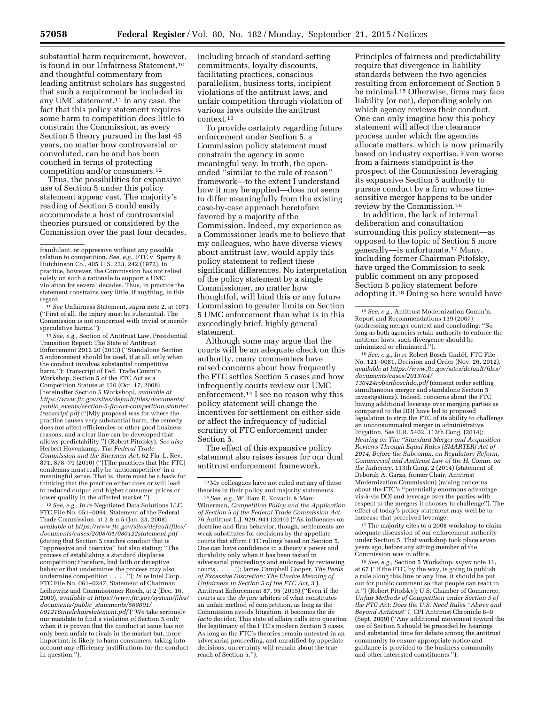substantial harm requirement, however, is found in our Unfairness Statement,10 and thoughtful commentary from leading antitrust scholars has suggested that such a requirement be included in any UMC statement.11 In any case, the fact that this policy statement requires some harm to competition does little to constrain the Commission, as every Section 5 theory pursued in the last 45 years, no matter how controversial or convoluted, can be and has been couched in terms of protecting competition and/or consumers.12

Thus, the possibilities for expansive use of Section 5 under this policy statement appear vast. The majority's reading of Section 5 could easily accommodate a host of controversial theories pursued or considered by the Commission over the past four decades,

10*See* Unfairness Statement, *supra* note 2, at 1073 (''First of all, the injury must be substantial. The Commission is not concerned with trivial or merely speculative harms.'').

11*See, e.g.,* Section of Antitrust Law, Presidential Transition Report: The State of Antitrust Enforcement 2012 20 (2013) (''Standalone Section 5 enforcement should be used, if at all, only when the conduct involves substantial competitive harm.''); Transcript of Fed. Trade Comm'n Workshop, Section 5 of the FTC Act as a Competition Statute at 130 (Oct. 17, 2008) [hereinafter Section 5 Workshop], *available at [https://www.ftc.gov/sites/default/files/documents/](https://www.ftc.gov/sites/default/files/documents/public_events/section-5-ftc-act-competition-statute/transcript.pdf) public*\_*[events/section-5-ftc-act-competition-statute/](https://www.ftc.gov/sites/default/files/documents/public_events/section-5-ftc-act-competition-statute/transcript.pdf) [transcript.pdf](https://www.ftc.gov/sites/default/files/documents/public_events/section-5-ftc-act-competition-statute/transcript.pdf)* (''[M]y proposal was for where the practice causes very substantial harm, the remedy does not affect efficiencies or other good business reasons, and a clear line can be developed that allows predictability.'') (Robert Pitofsky). *See also*  Herbert Hovenkamp, *The Federal Trade Commission and the Sherman Act,* 62 Fla. L. Rev. 871, 878–79 (2010) (''[T]he practices that [the FTC] condemns must really be 'anticompetitive' in a meaningful sense. That is, there must be a basis for thinking that the practice either does or will lead to reduced output and higher consumer prices or lower quality in the affected market.'').

12*See, e.g., In re* Negotiated Data Solutions LLC, FTC File No. 051–0094, Statement of the Federal Trade Commission, at 2 & n.5 (Jan. 23, 2008), *available at [https://www.ftc.gov/sites/default/files/](https://www.ftc.gov/sites/default/files/documents/cases/2008/01/080122statement.pdf) [documents/cases/2008/01/080122statement.pdf](https://www.ftc.gov/sites/default/files/documents/cases/2008/01/080122statement.pdf)*  (stating that Section 5 reaches conduct that is ''oppressive and coercive'' but also stating: ''The process of establishing a standard displaces competition; therefore, bad faith or deceptive behavior that undermines the process may also undermine competition . . . .''); *In re* Intel Corp., FTC File No. 061–0247, Statement of Chairman Leibowitz and Commissioner Rosch, at 2 (Dec. 16, 2009), *available at [https://www.ftc.gov/system/files/](https://www.ftc.gov/system/files/documents/public_statements/568601/091216intelchairstatement.pdf) documents/public*\_*[statements/568601/](https://www.ftc.gov/system/files/documents/public_statements/568601/091216intelchairstatement.pdf) [091216intelchairstatement.pdf](https://www.ftc.gov/system/files/documents/public_statements/568601/091216intelchairstatement.pdf)* (''We take seriously our mandate to find a violation of Section 5 only when it is proven that the conduct at issue has not only been unfair to rivals in the market but, more important, is likely to harm consumers, taking into account any efficiency justifications for the conduct in question.'').

including breach of standard-setting commitments, loyalty discounts, facilitating practices, conscious parallelism, business torts, incipient violations of the antitrust laws, and unfair competition through violation of various laws outside the antitrust context.13

To provide certainty regarding future enforcement under Section 5, a Commission policy statement must constrain the agency in some meaningful way. In truth, the openended ''similar to the rule of reason'' framework—to the extent I understand how it may be applied—does not seem to differ meaningfully from the existing case-by-case approach heretofore favored by a majority of the Commission. Indeed, my experience as a Commissioner leads me to believe that my colleagues, who have diverse views about antitrust law, would apply this policy statement to reflect these significant differences. No interpretation of the policy statement by a single Commissioner, no matter how thoughtful, will bind this or any future Commission to greater limits on Section 5 UMC enforcement than what is in this exceedingly brief, highly general statement.

Although some may argue that the courts will be an adequate check on this authority, many commenters have raised concerns about how frequently the FTC settles Section 5 cases and how infrequently courts review our UMC enforcement.14 I see no reason why this policy statement will change the incentives for settlement on either side or affect the infrequency of judicial scrutiny of FTC enforcement under Section 5.

The effect of this expansive policy statement also raises issues for our dual antitrust enforcement framework.

Principles of fairness and predictability require that divergence in liability standards between the two agencies resulting from enforcement of Section 5 be minimal.15 Otherwise, firms may face liability (or not), depending solely on which agency reviews their conduct. One can only imagine how this policy statement will affect the clearance process under which the agencies allocate matters, which is now primarily based on industry expertise. Even worse from a fairness standpoint is the prospect of the Commission leveraging its expansive Section 5 authority to pursue conduct by a firm whose timesensitive merger happens to be under review by the Commission.16

In addition, the lack of internal deliberation and consultation surrounding this policy statement—as opposed to the topic of Section 5 more generally—is unfortunate.17 Many, including former Chairman Pitofsky, have urged the Commission to seek public comment on any proposed Section 5 policy statement before adopting it.18 Doing so here would have

16*See, e.g., In re* Robert Bosch GmbH, FTC File No. 121–0081, Decision and Order (Nov. 26, 2012), *available at [https://www.ftc.gov/sites/default/files/](https://www.ftc.gov/sites/default/files/documents/cases/2013/04/130424robertboschdo.pdf) [documents/cases/2013/04/](https://www.ftc.gov/sites/default/files/documents/cases/2013/04/130424robertboschdo.pdf)  [130424robertboschdo.pdf](https://www.ftc.gov/sites/default/files/documents/cases/2013/04/130424robertboschdo.pdf)* (consent order settling simultaneous merger and standalone Section 5 investigations). Indeed, concerns about the FTC having additional leverage over merging parties as compared to the DOJ have led to proposed legislation to strip the FTC of its ability to challenge an unconsummated merger in administrative litigation. *See* H.R. 5402, 113th Cong. (2014); *Hearing on The ''Standard Merger and Acquisition Reviews Through Equal Rules (SMARTER) Act of 2014, Before the Subcomm. on Regulatory Reform, Commercial and Antitrust Law of the H. Comm. on the Judiciary,* 113th Cong. 2 (2014) (statement of Deborah A. Garza, former Chair, Antitrust Modernization Commission) (raising concerns about the FTC's ''potentially enormous advantage vis-a`-vis DOJ and leverage over the parties with respect to the mergers it chooses to challenge''). The effect of today's policy statement may well be to increase that perceived leverage.

<sup>17</sup>The majority cites to a 2008 workshop to claim adequate discussion of our enforcement authority under Section 5. That workshop took place seven years ago, before any sitting member of the Commission was in office.

18*See, e.g.,* Section 5 Workshop, *supra* note 11, at 67 (''If the FTC, by the way, is going to publish a rule along this line or any line, it should be put out for public comment so that people can react to it.'') (Robert Pitofsky); U.S. Chamber of Commerce, *Unfair Methods of Competition under Section 5 of the FTC Act: Does the U.S. Need Rules ''Above and Beyond Antitrust''?,* CPI Antitrust Chronicle 8–9 (Sept. 2009) (''Any additional movement toward the use of Section 5 should be preceded by hearings and substantial time for debate among the antitrust community to ensure appropriate notice and guidance is provided to the business community and other interested constituents.'').

fraudulent, or oppressive without any possible relation to competition. *See, e.g.,* FTC v. Sperry & Hutchinson Co., 405 U.S. 233, 242 (1972). In practice, however, the Commission has not relied solely on such a rationale to support a UMC violation for several decades. Thus, in practice the statement constrains very little, if anything, in this regard.

<sup>13</sup>My colleagues have not ruled out any of these theories in their policy and majority statements.

<sup>14</sup>*See, e.g.,* William E. Kovacic & Marc Winerman, *Competition Policy and the Application of Section 5 of the Federal Trade Commission Act,*  76 Antitrust L.J. 929, 941 (2010) (''As influences on doctrine and firm behavior, though, settlements are weak substitutes for decisions by the appellate courts that affirm FTC rulings based on Section 5. One can have confidence in a theory's power and durability only when it has been tested in adversarial proceedings and endorsed by reviewing courts . . . .''); James Campbell Cooper, *The Perils of Excessive Discretion: The Elusive Meaning of Unfairness in Section 5 of the FTC Act,* 3 J. Antitrust Enforcement 87, 95 (2015) (''Even if the courts are the *de jure* arbiters of what constitutes an unfair method of competition, as long as the Commission avoids litigation, it becomes the *de facto* decider. This state of affairs calls into question the legitimacy of the FTC's modern Section 5 cases. As long as the FTC's theories remain untested in an adversarial proceeding, and unratified by appellate decisions, uncertainty will remain about the true reach of Section 5.'').

<sup>15</sup>*See, e.g.,* Antitrust Modernization Comm'n, Report and Recommendations 139 (2007) (addressing merger context and concluding: ''So long as both agencies retain authority to enforce the antitrust laws, such divergence should be minimized or eliminated.